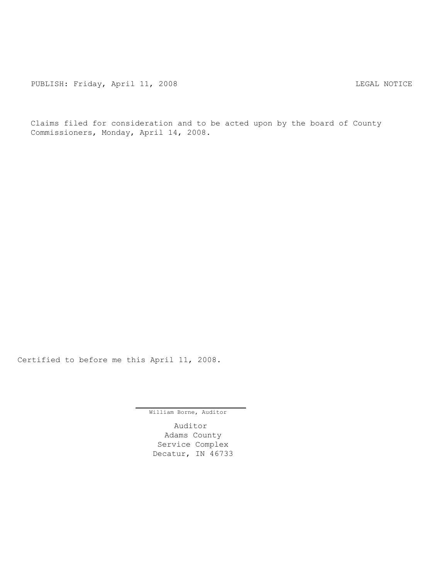PUBLISH: Friday, April 11, 2008 COME CONTROLLING REGAL NOTICE

Claims filed for consideration and to be acted upon by the board of County Commissioners, Monday, April 14, 2008.

Certified to before me this April 11, 2008.

William Borne, Auditor

Auditor Adams County Service Complex Decatur, IN 46733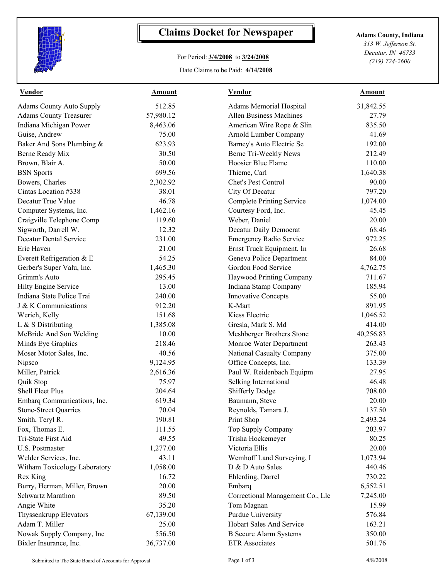

## **Claims Docket for Newspaper Adams County, Indiana**

## For Period: **3/4/2008** to **3/24/2008**

Date Claims to be Paid: **4/14/2008**

*313 W. Jefferson St. Decatur, IN 46733 (219) 724-2600*

| <b>Vendor</b>                   | <b>Amount</b> | <b>Vendor</b>                    | <b>Amount</b> |  |
|---------------------------------|---------------|----------------------------------|---------------|--|
| <b>Adams County Auto Supply</b> | 512.85        | Adams Memorial Hospital          | 31,842.55     |  |
| <b>Adams County Treasurer</b>   | 57,980.12     | <b>Allen Business Machines</b>   | 27.79         |  |
| Indiana Michigan Power          | 8,463.06      | American Wire Rope & Slin        | 835.50        |  |
| Guise, Andrew                   | 75.00         | Arnold Lumber Company            | 41.69         |  |
| Baker And Sons Plumbing &       | 623.93        | Barney's Auto Electric Se        | 192.00        |  |
| Berne Ready Mix                 | 30.50         | Berne Tri-Weekly News            | 212.49        |  |
| Brown, Blair A.                 | 50.00         | Hoosier Blue Flame               | 110.00        |  |
| <b>BSN</b> Sports               | 699.56        | Thieme, Carl                     | 1,640.38      |  |
| Bowers, Charles                 | 2,302.92      | Chet's Pest Control              | 90.00         |  |
| Cintas Location #338            | 38.01         | City Of Decatur                  | 797.20        |  |
| Decatur True Value              | 46.78         | <b>Complete Printing Service</b> | 1,074.00      |  |
| Computer Systems, Inc.          | 1,462.16      | Courtesy Ford, Inc.              | 45.45         |  |
| Craigville Telephone Comp       | 119.60        | Weber, Daniel                    | 20.00         |  |
| Sigworth, Darrell W.            | 12.32         | Decatur Daily Democrat           | 68.46         |  |
| <b>Decatur Dental Service</b>   | 231.00        | <b>Emergency Radio Service</b>   | 972.25        |  |
| Erie Haven                      | 21.00         | Ernst Truck Equipment, In        | 26.68         |  |
| Everett Refrigeration & E       | 54.25         | Geneva Police Department         | 84.00         |  |
| Gerber's Super Valu, Inc.       | 1,465.30      | Gordon Food Service              | 4,762.75      |  |
| Grimm's Auto                    | 295.45        | Haywood Printing Company         | 711.67        |  |
| Hilty Engine Service            | 13.00         | Indiana Stamp Company            | 185.94        |  |
| Indiana State Police Trai       | 240.00        | <b>Innovative Concepts</b>       | 55.00         |  |
| J & K Communications            | 912.20        | K-Mart                           | 891.95        |  |
| Werich, Kelly                   | 151.68        | Kiess Electric                   | 1,046.52      |  |
| L & S Distributing              | 1,385.08      | Gresla, Mark S. Md               | 414.00        |  |
| McBride And Son Welding         | 10.00         | Meshberger Brothers Stone        | 40,256.83     |  |
| Minds Eye Graphics              | 218.46        | Monroe Water Department          | 263.43        |  |
| Moser Motor Sales, Inc.         | 40.56         | National Casualty Company        | 375.00        |  |
| Nipsco                          | 9,124.95      | Office Concepts, Inc.            | 133.39        |  |
| Miller, Patrick                 | 2,616.36      | Paul W. Reidenbach Equipm        | 27.95         |  |
| Quik Stop                       | 75.97         | Selking International            | 46.48         |  |
| Shell Fleet Plus                | 204.64        | <b>Shifferly Dodge</b>           | 708.00        |  |
| Embarq Communications, Inc.     | 619.34        | Baumann, Steve                   | 20.00         |  |
| <b>Stone-Street Quarries</b>    | 70.04         | Reynolds, Tamara J               | 137.50        |  |
| Smith, Teryl R.                 | 190.81        | Print Shop                       | 2,493.24      |  |
| Fox, Thomas E.                  | 111.55        | Top Supply Company               | 203.97        |  |
| Tri-State First Aid             | 49.55         | Trisha Hockemeyer                | 80.25         |  |
| U.S. Postmaster                 | 1,277.00      | Victoria Ellis                   | 20.00         |  |
| Welder Services, Inc.           | 43.11         | Wemhoff Land Surveying, I        | 1,073.94      |  |
| Witham Toxicology Laboratory    | 1,058.00      | D & D Auto Sales                 | 440.46        |  |
| Rex King                        | 16.72         | Ehlerding, Darrel                | 730.22        |  |
| Burry, Herman, Miller, Brown    | 20.00         | Embarq                           | 6,552.51      |  |
| Schwartz Marathon               | 89.50         | Correctional Management Co., Llc | 7,245.00      |  |
| Angie White                     | 35.20         | Tom Magnan                       | 15.99         |  |
| Thyssenkrupp Elevators          | 67,139.00     | Purdue University                | 576.84        |  |
| Adam T. Miller                  | 25.00         | Hobart Sales And Service         | 163.21        |  |
| Nowak Supply Company, Inc       | 556.50        | <b>B</b> Secure Alarm Systems    | 350.00        |  |
| Bixler Insurance, Inc.          | 36,737.00     | <b>ETR</b> Associates            | 501.76        |  |
|                                 |               |                                  |               |  |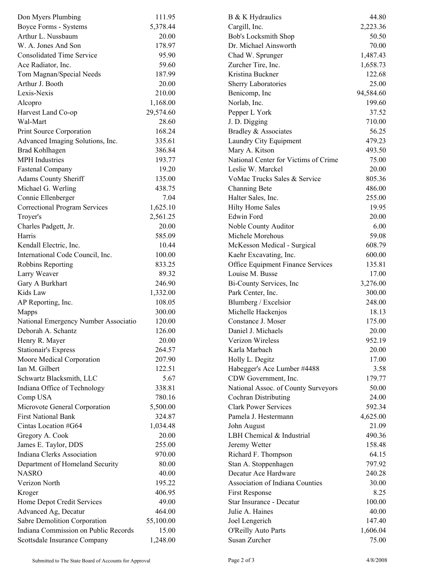| Don Myers Plumbing                   | 111.95    | B & K Hydraulics                     | 44.80     |  |
|--------------------------------------|-----------|--------------------------------------|-----------|--|
| Boyce Forms - Systems                | 5,378.44  | Cargill, Inc.                        | 2,223.36  |  |
| Arthur L. Nussbaum                   | 20.00     | Bob's Locksmith Shop                 | 50.50     |  |
| W. A. Jones And Son                  | 178.97    | Dr. Michael Ainsworth                | 70.00     |  |
| <b>Consolidated Time Service</b>     | 95.90     | Chad W. Sprunger                     | 1,487.43  |  |
| Ace Radiator, Inc.                   | 59.60     | Zurcher Tire, Inc.                   | 1,658.73  |  |
| Tom Magnan/Special Needs             | 187.99    | Kristina Buckner                     | 122.68    |  |
| Arthur J. Booth                      | 20.00     | Sherry Laboratories                  | 25.00     |  |
| Lexis-Nexis                          | 210.00    | Benicomp, Inc                        | 94,584.60 |  |
| Alcopro                              | 1,168.00  | Norlab, Inc.                         | 199.60    |  |
| Harvest Land Co-op                   | 29,574.60 | Pepper L York                        | 37.52     |  |
| Wal-Mart                             | 28.60     | J. D. Digging                        | 710.00    |  |
| Print Source Corporation             | 168.24    | Bradley & Associates                 | 56.25     |  |
| Advanced Imaging Solutions, Inc.     | 335.61    | Laundry City Equipment               | 479.23    |  |
| Brad Kohlhagen                       | 386.84    | Mary A. Kitson                       | 493.50    |  |
| <b>MPH</b> Industries                | 193.77    | National Center for Victims of Crime | 75.00     |  |
| <b>Fastenal Company</b>              | 19.20     | Leslie W. Marckel                    | 20.00     |  |
| <b>Adams County Sheriff</b>          | 135.00    | VoMac Trucks Sales & Service         | 805.36    |  |
| Michael G. Werling                   | 438.75    | Channing Bete                        | 486.00    |  |
| Connie Ellenberger                   | 7.04      | Halter Sales, Inc.                   | 255.00    |  |
| <b>Correctional Program Services</b> | 1,625.10  | <b>Hilty Home Sales</b>              | 19.95     |  |
| Troyer's                             | 2,561.25  | Edwin Ford                           | 20.00     |  |
| Charles Padgett, Jr.                 | 20.00     | Noble County Auditor                 | 6.00      |  |
| Harris                               | 585.09    | Michele Morehous                     | 59.08     |  |
| Kendall Electric, Inc.               | 10.44     | McKesson Medical - Surgical          | 608.79    |  |
| International Code Council, Inc.     | 100.00    | Kaehr Excavating, Inc.               | 600.00    |  |
| Robbins Reporting                    | 833.25    | Office Equipment Finance Services    | 135.81    |  |
|                                      | 89.32     | Louise M. Busse                      | 17.00     |  |
| Larry Weaver                         | 246.90    |                                      |           |  |
| Gary A Burkhart                      |           | Bi-County Services, Inc              | 3,276.00  |  |
| Kids Law                             | 1,332.00  | Park Center, Inc.                    | 300.00    |  |
| AP Reporting, Inc.                   | 108.05    | Blumberg / Excelsior                 | 248.00    |  |
| Mapps                                | 300.00    | Michelle Hackenjos                   | 18.13     |  |
| National Emergency Number Associatio | 120.00    | Constance J. Moser                   | 175.00    |  |
| Deborah A. Schantz                   | 126.00    | Daniel J. Michaels                   | 20.00     |  |
| Henry R. Mayer                       | 20.00     | Verizon Wireless                     | 952.19    |  |
| <b>Stationair's Express</b>          | 264.57    | Karla Marbach                        | 20.00     |  |
| Moore Medical Corporation            | 207.90    | Holly L. Degitz                      | 17.00     |  |
| Ian M. Gilbert                       | 122.51    | Habegger's Ace Lumber #4488          | 3.58      |  |
| Schwartz Blacksmith, LLC             | 5.67      | CDW Government, Inc.                 | 179.77    |  |
| Indiana Office of Technology         | 338.81    | National Assoc. of County Surveyors  | 50.00     |  |
| Comp USA                             | 780.16    | Cochran Distributing                 | 24.00     |  |
| Microvote General Corporation        | 5,500.00  | <b>Clark Power Services</b>          | 592.34    |  |
| <b>First National Bank</b>           | 324.87    | Pamela J. Hestermann                 | 4,625.00  |  |
| Cintas Location #G64                 | 1,034.48  | John August                          | 21.09     |  |
| Gregory A. Cook                      | 20.00     | LBH Chemical & Industrial            | 490.36    |  |
| James E. Taylor, DDS                 | 255.00    | Jeremy Wetter                        | 158.48    |  |
| Indiana Clerks Association           | 970.00    | Richard F. Thompson                  | 64.15     |  |
| Department of Homeland Security      | 80.00     | Stan A. Stoppenhagen                 | 797.92    |  |
| <b>NASRO</b>                         | 40.00     | Decatur Ace Hardware                 | 240.28    |  |
| Verizon North                        | 195.22    | Association of Indiana Counties      | 30.00     |  |
| Kroger                               | 406.95    | First Response                       | 8.25      |  |
| Home Depot Credit Services           | 49.00     | Star Insurance - Decatur             | 100.00    |  |
| Advanced Ag, Decatur                 | 464.00    | Julie A. Haines                      | 40.00     |  |
| Sabre Demolition Corporation         | 55,100.00 | Joel Lengerich                       | 147.40    |  |
| Indiana Commission on Public Records | 15.00     | O'Reilly Auto Parts                  | 1,606.04  |  |
| Scottsdale Insurance Company         | 1,248.00  | Susan Zurcher                        | 75.00     |  |